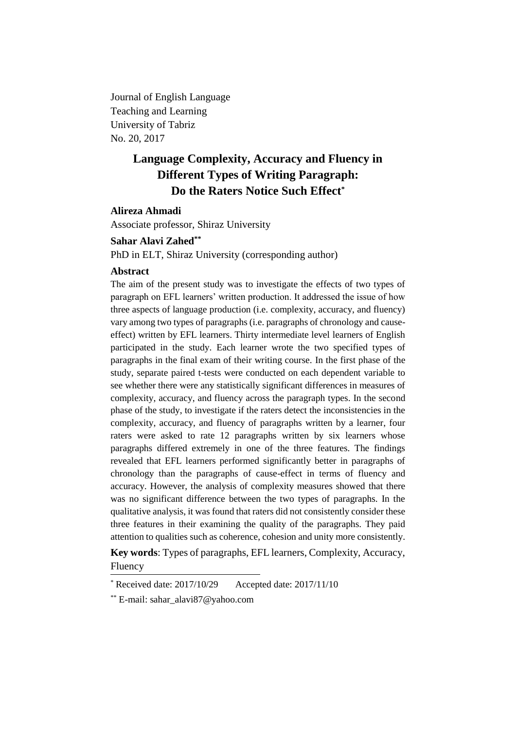Journal of English Language Teaching and Learning University of Tabriz No. 20, 2017

# **Language Complexity, Accuracy and Fluency in Different Types of Writing Paragraph: Do the Raters Notice Such Effect\***

# **Alireza Ahmadi**

Associate professor, Shiraz University

# **Sahar Alavi Zahed\*\***

PhD in ELT, Shiraz University (corresponding author)

#### **Abstract**

The aim of the present study was to investigate the effects of two types of paragraph on EFL learners' written production. It addressed the issue of how three aspects of language production (i.e. complexity, accuracy, and fluency) vary among two types of paragraphs (i.e. paragraphs of chronology and causeeffect) written by EFL learners. Thirty intermediate level learners of English participated in the study. Each learner wrote the two specified types of paragraphs in the final exam of their writing course. In the first phase of the study, separate paired t-tests were conducted on each dependent variable to see whether there were any statistically significant differences in measures of complexity, accuracy, and fluency across the paragraph types. In the second phase of the study, to investigate if the raters detect the inconsistencies in the complexity, accuracy, and fluency of paragraphs written by a learner, four raters were asked to rate 12 paragraphs written by six learners whose paragraphs differed extremely in one of the three features. The findings revealed that EFL learners performed significantly better in paragraphs of chronology than the paragraphs of cause-effect in terms of fluency and accuracy. However, the analysis of complexity measures showed that there was no significant difference between the two types of paragraphs. In the qualitative analysis, it was found that raters did not consistently consider these three features in their examining the quality of the paragraphs. They paid attention to qualities such as coherence, cohesion and unity more consistently.

**Key words**: Types of paragraphs, EFL learners, Complexity, Accuracy, Fluency

Received date: 2017/10/29 Accepted date: 2017/11/10

<sup>\*\*</sup> E-mail: sahar\_alavi87@yahoo.com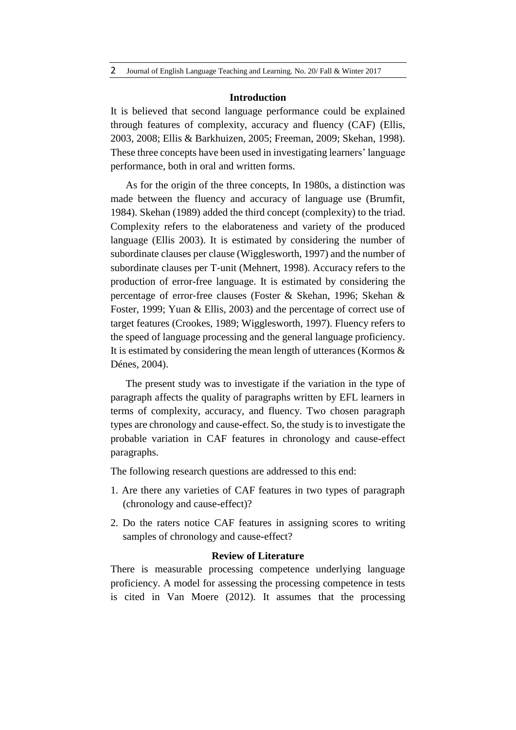#### **Introduction**

It is believed that second language performance could be explained through features of complexity, accuracy and fluency (CAF) (Ellis, 2003, 2008; Ellis & Barkhuizen, 2005; Freeman, 2009; Skehan, 1998). These three concepts have been used in investigating learners' language performance, both in oral and written forms.

As for the origin of the three concepts, In 1980s, a distinction was made between the fluency and accuracy of language use (Brumfit, 1984). Skehan (1989) added the third concept (complexity) to the triad. Complexity refers to the elaborateness and variety of the produced language (Ellis 2003). It is estimated by considering the number of subordinate clauses per clause (Wigglesworth, 1997) and the number of subordinate clauses per T-unit (Mehnert, 1998). Accuracy refers to the production of error-free language. It is estimated by considering the percentage of error‐free clauses (Foster & Skehan, 1996; Skehan & Foster, 1999; Yuan & Ellis, 2003) and the percentage of correct use of target features (Crookes, 1989; Wigglesworth, 1997). Fluency refers to the speed of language processing and the general language proficiency. It is estimated by considering the mean length of utterances (Kormos  $\&$ Dénes, 2004).

The present study was to investigate if the variation in the type of paragraph affects the quality of paragraphs written by EFL learners in terms of complexity, accuracy, and fluency. Two chosen paragraph types are chronology and cause-effect. So, the study is to investigate the probable variation in CAF features in chronology and cause-effect paragraphs.

The following research questions are addressed to this end:

- 1. Are there any varieties of CAF features in two types of paragraph (chronology and cause-effect)?
- 2. Do the raters notice CAF features in assigning scores to writing samples of chronology and cause-effect?

## **Review of Literature**

There is measurable processing competence underlying language proficiency. A model for assessing the processing competence in tests is cited in Van Moere (2012). It assumes that the processing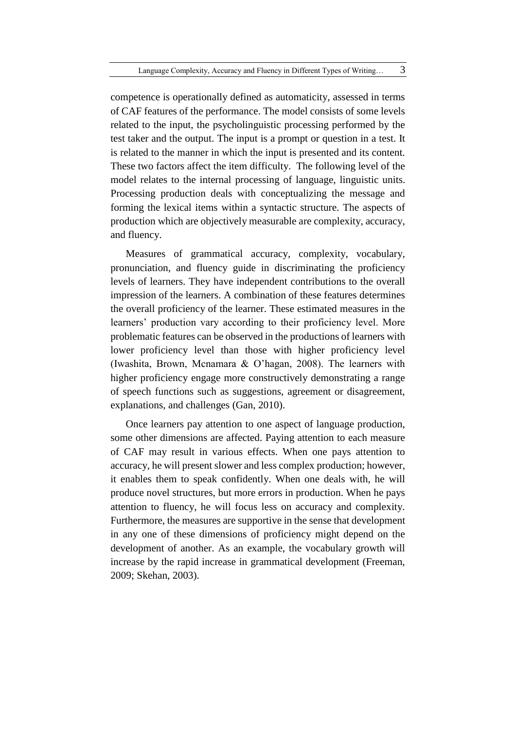competence is operationally defined as automaticity, assessed in terms of CAF features of the performance. The model consists of some levels related to the input, the psycholinguistic processing performed by the test taker and the output. The input is a prompt or question in a test. It is related to the manner in which the input is presented and its content. These two factors affect the item difficulty. The following level of the model relates to the internal processing of language, linguistic units. Processing production deals with conceptualizing the message and forming the lexical items within a syntactic structure. The aspects of production which are objectively measurable are complexity, accuracy, and fluency.

Measures of grammatical accuracy, complexity, vocabulary, pronunciation, and fluency guide in discriminating the proficiency levels of learners. They have independent contributions to the overall impression of the learners. A combination of these features determines the overall proficiency of the learner. These estimated measures in the learners' production vary according to their proficiency level. More problematic features can be observed in the productions of learners with lower proficiency level than those with higher proficiency level (Iwashita, Brown, Mcnamara & O'hagan, 2008). The learners with higher proficiency engage more constructively demonstrating a range of speech functions such as suggestions, agreement or disagreement, explanations, and challenges (Gan, 2010).

Once learners pay attention to one aspect of language production, some other dimensions are affected. Paying attention to each measure of CAF may result in various effects. When one pays attention to accuracy, he will present slower and less complex production; however, it enables them to speak confidently. When one deals with, he will produce novel structures, but more errors in production. When he pays attention to fluency, he will focus less on accuracy and complexity. Furthermore, the measures are supportive in the sense that development in any one of these dimensions of proficiency might depend on the development of another. As an example, the vocabulary growth will increase by the rapid increase in grammatical development (Freeman, 2009; Skehan, 2003).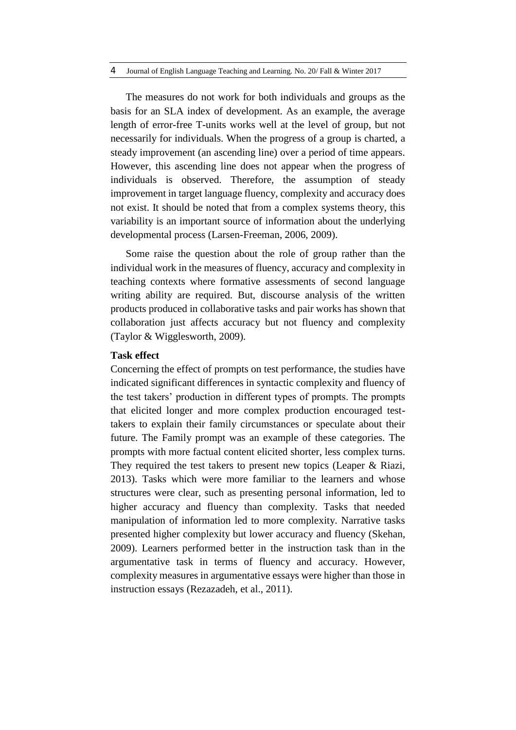The measures do not work for both individuals and groups as the basis for an SLA index of development. As an example, the average length of error-free T-units works well at the level of group, but not necessarily for individuals. When the progress of a group is charted, a steady improvement (an ascending line) over a period of time appears. However, this ascending line does not appear when the progress of individuals is observed. Therefore, the assumption of steady improvement in target language fluency, complexity and accuracy does not exist. It should be noted that from a complex systems theory, this variability is an important source of information about the underlying developmental process (Larsen-Freeman, 2006, 2009).

Some raise the question about the role of group rather than the individual work in the measures of fluency, accuracy and complexity in teaching contexts where formative assessments of second language writing ability are required. But, discourse analysis of the written products produced in collaborative tasks and pair works has shown that collaboration just affects accuracy but not fluency and complexity (Taylor & Wigglesworth, 2009).

### **Task effect**

Concerning the effect of prompts on test performance, the studies have indicated significant differences in syntactic complexity and fluency of the test takers' production in different types of prompts. The prompts that elicited longer and more complex production encouraged testtakers to explain their family circumstances or speculate about their future. The Family prompt was an example of these categories. The prompts with more factual content elicited shorter, less complex turns. They required the test takers to present new topics (Leaper & Riazi, 2013). Tasks which were more familiar to the learners and whose structures were clear, such as presenting personal information, led to higher accuracy and fluency than complexity. Tasks that needed manipulation of information led to more complexity. Narrative tasks presented higher complexity but lower accuracy and fluency (Skehan, 2009). Learners performed better in the instruction task than in the argumentative task in terms of fluency and accuracy. However, complexity measures in argumentative essays were higher than those in instruction essays (Rezazadeh, et al., 2011).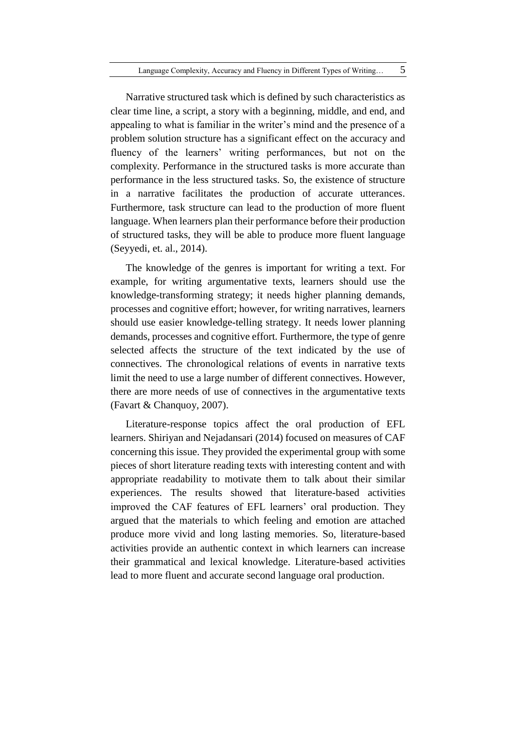Narrative structured task which is defined by such characteristics as clear time line, a script, a story with a beginning, middle, and end, and appealing to what is familiar in the writer's mind and the presence of a problem solution structure has a significant effect on the accuracy and fluency of the learners' writing performances, but not on the complexity. Performance in the structured tasks is more accurate than performance in the less structured tasks. So, the existence of structure in a narrative facilitates the production of accurate utterances. Furthermore, task structure can lead to the production of more fluent language. When learners plan their performance before their production of structured tasks, they will be able to produce more fluent language (Seyyedi, et. al., 2014).

The knowledge of the genres is important for writing a text. For example, for writing argumentative texts, learners should use the knowledge-transforming strategy; it needs higher planning demands, processes and cognitive effort; however, for writing narratives, learners should use easier knowledge-telling strategy. It needs lower planning demands, processes and cognitive effort. Furthermore, the type of genre selected affects the structure of the text indicated by the use of connectives. The chronological relations of events in narrative texts limit the need to use a large number of different connectives. However, there are more needs of use of connectives in the argumentative texts (Favart & Chanquoy, 2007).

Literature-response topics affect the oral production of EFL learners. Shiriyan and Nejadansari (2014) focused on measures of CAF concerning this issue. They provided the experimental group with some pieces of short literature reading texts with interesting content and with appropriate readability to motivate them to talk about their similar experiences. The results showed that literature-based activities improved the CAF features of EFL learners' oral production. They argued that the materials to which feeling and emotion are attached produce more vivid and long lasting memories. So, literature-based activities provide an authentic context in which learners can increase their grammatical and lexical knowledge. Literature-based activities lead to more fluent and accurate second language oral production.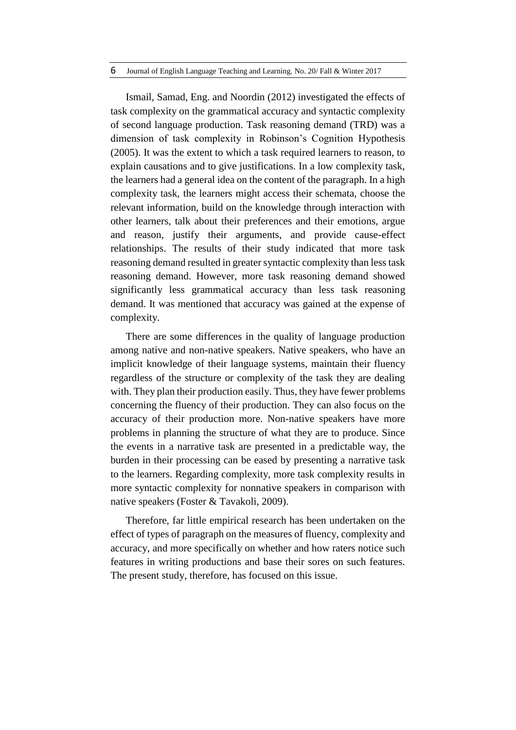#### 6 Journal of English Language Teaching and Learning. No. 20/ Fall & Winter 2017

Ismail, Samad, Eng. and Noordin (2012) investigated the effects of task complexity on the grammatical accuracy and syntactic complexity of second language production. Task reasoning demand (TRD) was a dimension of task complexity in Robinson's Cognition Hypothesis (2005). It was the extent to which a task required learners to reason, to explain causations and to give justifications. In a low complexity task, the learners had a general idea on the content of the paragraph. In a high complexity task, the learners might access their schemata, choose the relevant information, build on the knowledge through interaction with other learners, talk about their preferences and their emotions, argue and reason, justify their arguments, and provide cause-effect relationships. The results of their study indicated that more task reasoning demand resulted in greater syntactic complexity than less task reasoning demand. However, more task reasoning demand showed significantly less grammatical accuracy than less task reasoning demand. It was mentioned that accuracy was gained at the expense of complexity.

There are some differences in the quality of language production among native and non-native speakers. Native speakers, who have an implicit knowledge of their language systems, maintain their fluency regardless of the structure or complexity of the task they are dealing with. They plan their production easily. Thus, they have fewer problems concerning the fluency of their production. They can also focus on the accuracy of their production more. Non-native speakers have more problems in planning the structure of what they are to produce. Since the events in a narrative task are presented in a predictable way, the burden in their processing can be eased by presenting a narrative task to the learners. Regarding complexity, more task complexity results in more syntactic complexity for nonnative speakers in comparison with native speakers (Foster & Tavakoli, 2009).

Therefore, far little empirical research has been undertaken on the effect of types of paragraph on the measures of fluency, complexity and accuracy, and more specifically on whether and how raters notice such features in writing productions and base their sores on such features. The present study, therefore, has focused on this issue.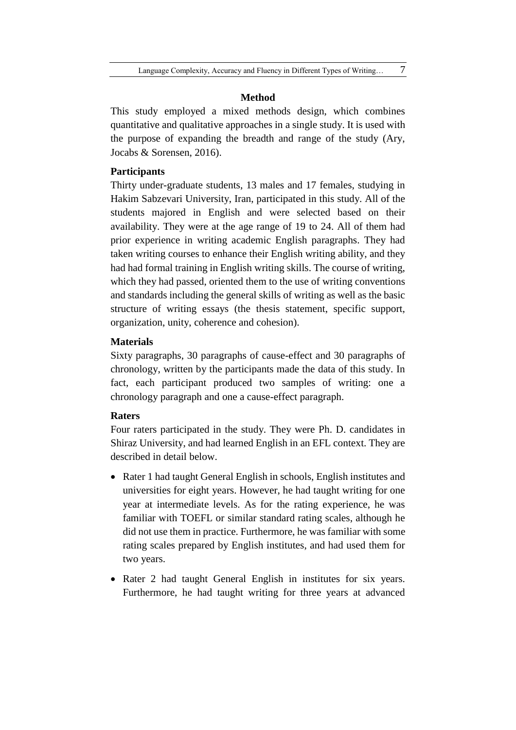### **Method**

This study employed a mixed methods design, which combines quantitative and qualitative approaches in a single study. It is used with the purpose of expanding the breadth and range of the study (Ary, Jocabs & Sorensen, 2016).

# **Participants**

Thirty under-graduate students, 13 males and 17 females, studying in Hakim Sabzevari University, Iran, participated in this study. All of the students majored in English and were selected based on their availability. They were at the age range of 19 to 24. All of them had prior experience in writing academic English paragraphs. They had taken writing courses to enhance their English writing ability, and they had had formal training in English writing skills. The course of writing, which they had passed, oriented them to the use of writing conventions and standards including the general skills of writing as well as the basic structure of writing essays (the thesis statement, specific support, organization, unity, coherence and cohesion).

# **Materials**

Sixty paragraphs, 30 paragraphs of cause-effect and 30 paragraphs of chronology, written by the participants made the data of this study. In fact, each participant produced two samples of writing: one a chronology paragraph and one a cause-effect paragraph.

### **Raters**

Four raters participated in the study. They were Ph. D. candidates in Shiraz University, and had learned English in an EFL context. They are described in detail below.

- Rater 1 had taught General English in schools, English institutes and universities for eight years. However, he had taught writing for one year at intermediate levels. As for the rating experience, he was familiar with TOEFL or similar standard rating scales, although he did not use them in practice. Furthermore, he was familiar with some rating scales prepared by English institutes, and had used them for two years.
- Rater 2 had taught General English in institutes for six years. Furthermore, he had taught writing for three years at advanced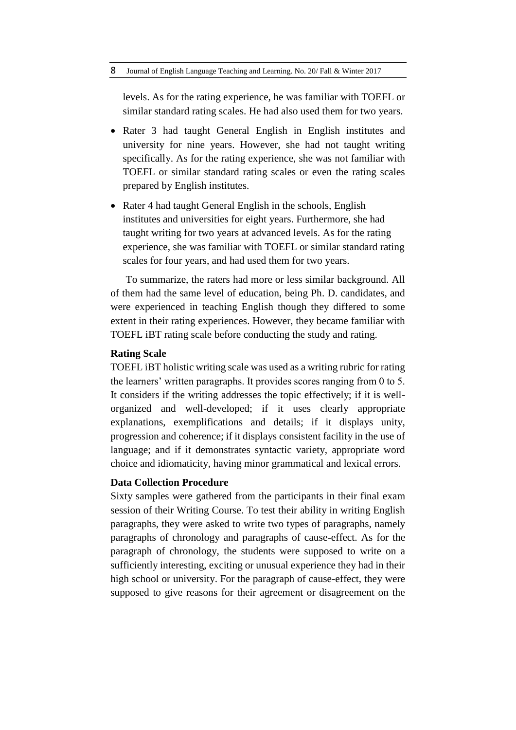levels. As for the rating experience, he was familiar with TOEFL or similar standard rating scales. He had also used them for two years.

- Rater 3 had taught General English in English institutes and university for nine years. However, she had not taught writing specifically. As for the rating experience, she was not familiar with TOEFL or similar standard rating scales or even the rating scales prepared by English institutes.
- Rater 4 had taught General English in the schools, English institutes and universities for eight years. Furthermore, she had taught writing for two years at advanced levels. As for the rating experience, she was familiar with TOEFL or similar standard rating scales for four years, and had used them for two years.

To summarize, the raters had more or less similar background. All of them had the same level of education, being Ph. D. candidates, and were experienced in teaching English though they differed to some extent in their rating experiences. However, they became familiar with TOEFL iBT rating scale before conducting the study and rating.

### **Rating Scale**

TOEFL iBT holistic writing scale was used as a writing rubric for rating the learners' written paragraphs. It provides scores ranging from 0 to 5. It considers if the writing addresses the topic effectively; if it is wellorganized and well-developed; if it uses clearly appropriate explanations, exemplifications and details; if it displays unity, progression and coherence; if it displays consistent facility in the use of language; and if it demonstrates syntactic variety, appropriate word choice and idiomaticity, having minor grammatical and lexical errors.

# **Data Collection Procedure**

Sixty samples were gathered from the participants in their final exam session of their Writing Course. To test their ability in writing English paragraphs, they were asked to write two types of paragraphs, namely paragraphs of chronology and paragraphs of cause-effect. As for the paragraph of chronology, the students were supposed to write on a sufficiently interesting, exciting or unusual experience they had in their high school or university. For the paragraph of cause-effect, they were supposed to give reasons for their agreement or disagreement on the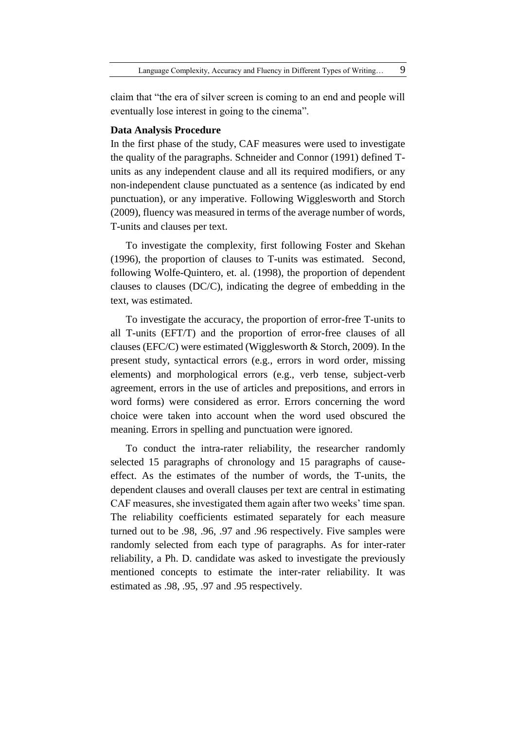claim that "the era of silver screen is coming to an end and people will eventually lose interest in going to the cinema".

# **Data Analysis Procedure**

In the first phase of the study, CAF measures were used to investigate the quality of the paragraphs. Schneider and Connor (1991) defined Tunits as any independent clause and all its required modifiers, or any non-independent clause punctuated as a sentence (as indicated by end punctuation), or any imperative. Following Wigglesworth and Storch (2009), fluency was measured in terms of the average number of words, T-units and clauses per text.

To investigate the complexity, first following Foster and Skehan (1996), the proportion of clauses to T-units was estimated. Second, following Wolfe-Quintero, et. al. (1998), the proportion of dependent clauses to clauses (DC/C), indicating the degree of embedding in the text, was estimated.

To investigate the accuracy, the proportion of error-free T-units to all T-units (EFT/T) and the proportion of error-free clauses of all clauses (EFC/C) were estimated (Wigglesworth & Storch, 2009). In the present study, syntactical errors (e.g., errors in word order, missing elements) and morphological errors (e.g., verb tense, subject-verb agreement, errors in the use of articles and prepositions, and errors in word forms) were considered as error. Errors concerning the word choice were taken into account when the word used obscured the meaning. Errors in spelling and punctuation were ignored.

To conduct the intra-rater reliability, the researcher randomly selected 15 paragraphs of chronology and 15 paragraphs of causeeffect. As the estimates of the number of words, the T-units, the dependent clauses and overall clauses per text are central in estimating CAF measures, she investigated them again after two weeks' time span. The reliability coefficients estimated separately for each measure turned out to be .98, .96, .97 and .96 respectively. Five samples were randomly selected from each type of paragraphs. As for inter-rater reliability, a Ph. D. candidate was asked to investigate the previously mentioned concepts to estimate the inter-rater reliability. It was estimated as .98, .95, .97 and .95 respectively.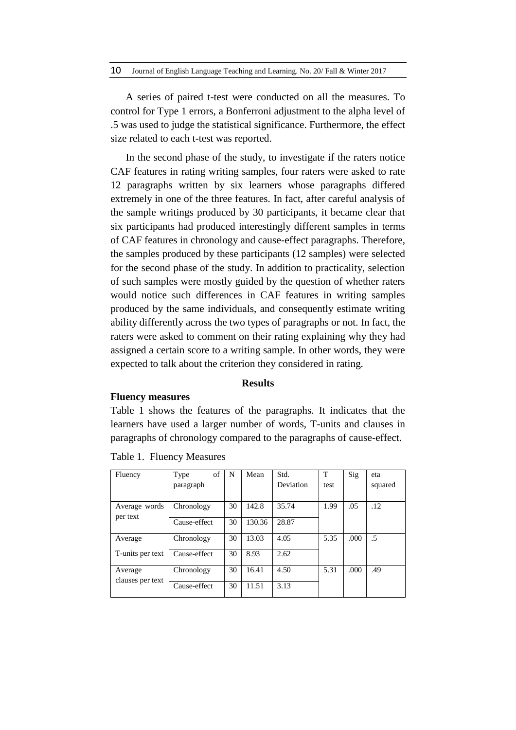A series of paired t-test were conducted on all the measures. To control for Type 1 errors, a Bonferroni adjustment to the alpha level of .5 was used to judge the statistical significance. Furthermore, the effect size related to each t-test was reported.

In the second phase of the study, to investigate if the raters notice CAF features in rating writing samples, four raters were asked to rate 12 paragraphs written by six learners whose paragraphs differed extremely in one of the three features. In fact, after careful analysis of the sample writings produced by 30 participants, it became clear that six participants had produced interestingly different samples in terms of CAF features in chronology and cause-effect paragraphs. Therefore, the samples produced by these participants (12 samples) were selected for the second phase of the study. In addition to practicality, selection of such samples were mostly guided by the question of whether raters would notice such differences in CAF features in writing samples produced by the same individuals, and consequently estimate writing ability differently across the two types of paragraphs or not. In fact, the raters were asked to comment on their rating explaining why they had assigned a certain score to a writing sample. In other words, they were expected to talk about the criterion they considered in rating.

#### **Results**

### **Fluency measures**

Table 1 shows the features of the paragraphs. It indicates that the learners have used a larger number of words, T-units and clauses in paragraphs of chronology compared to the paragraphs of cause-effect.

| Fluency          | of<br>Type   | N  | Mean   | Std.      | T           | Sig  | eta     |  |
|------------------|--------------|----|--------|-----------|-------------|------|---------|--|
|                  | paragraph    |    |        | Deviation | test        |      | squared |  |
|                  |              |    |        |           |             |      |         |  |
| Average words    | Chronology   | 30 | 142.8  | 35.74     | .05<br>1.99 |      | .12     |  |
| per text         |              |    |        |           |             |      |         |  |
|                  | Cause-effect | 30 | 130.36 | 28.87     |             |      |         |  |
|                  |              |    |        |           |             |      |         |  |
| Average          | Chronology   | 30 | 13.03  | 4.05      | 5.35        | .000 | .5      |  |
|                  |              |    |        |           |             |      |         |  |
| T-units per text | Cause-effect | 30 | 8.93   | 2.62      |             |      |         |  |
|                  |              |    |        |           |             |      |         |  |
| Average          | Chronology   | 30 | 16.41  | 4.50      | 5.31        | .000 | .49     |  |
| clauses per text |              |    |        |           |             |      |         |  |
|                  | Cause-effect | 30 | 11.51  | 3.13      |             |      |         |  |
|                  |              |    |        |           |             |      |         |  |

Table 1. Fluency Measures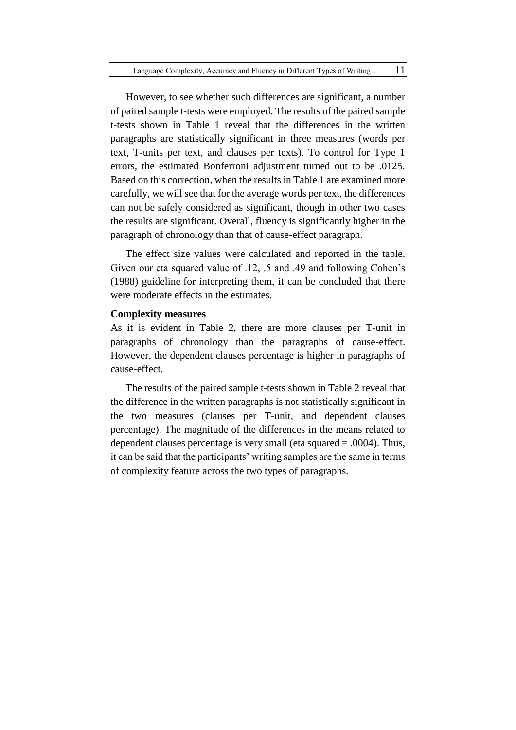However, to see whether such differences are significant, a number of paired sample t-tests were employed. The results of the paired sample t-tests shown in Table 1 reveal that the differences in the written paragraphs are statistically significant in three measures (words per text, T-units per text, and clauses per texts). To control for Type 1 errors, the estimated Bonferroni adjustment turned out to be .0125. Based on this correction, when the results in Table 1 are examined more carefully, we will see that for the average words per text, the differences can not be safely considered as significant, though in other two cases the results are significant. Overall, fluency is significantly higher in the paragraph of chronology than that of cause-effect paragraph.

The effect size values were calculated and reported in the table. Given our eta squared value of .12, .5 and .49 and following Cohen's (1988) guideline for interpreting them, it can be concluded that there were moderate effects in the estimates.

### **Complexity measures**

As it is evident in Table 2, there are more clauses per T-unit in paragraphs of chronology than the paragraphs of cause-effect. However, the dependent clauses percentage is higher in paragraphs of cause-effect.

The results of the paired sample t-tests shown in Table 2 reveal that the difference in the written paragraphs is not statistically significant in the two measures (clauses per T-unit, and dependent clauses percentage). The magnitude of the differences in the means related to dependent clauses percentage is very small (eta squared  $= .0004$ ). Thus, it can be said that the participants' writing samples are the same in terms of complexity feature across the two types of paragraphs.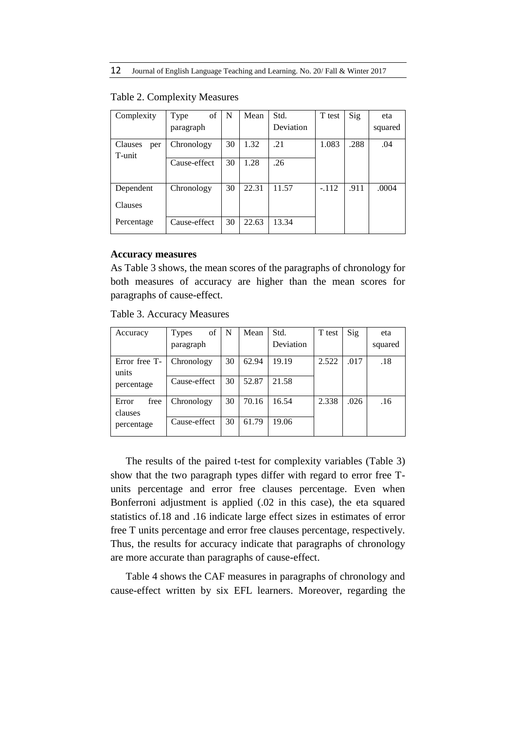| Complexity               | of<br>Type   | N  | Mean  | Std.      | T test  | Sig  | eta     |
|--------------------------|--------------|----|-------|-----------|---------|------|---------|
|                          | paragraph    |    |       | Deviation |         |      | squared |
| Clauses<br>per<br>T-unit | Chronology   | 30 | 1.32  | .21       | 1.083   | .288 | .04     |
|                          | Cause-effect | 30 | 1.28  | .26       |         |      |         |
| Dependent                | Chronology   | 30 | 22.31 | 11.57     | $-.112$ | .911 | .0004   |
| Clauses                  |              |    |       |           |         |      |         |
| Percentage               | Cause-effect | 30 | 22.63 | 13.34     |         |      |         |

#### Table 2. Complexity Measures

### **Accuracy measures**

As Table 3 shows, the mean scores of the paragraphs of chronology for both measures of accuracy are higher than the mean scores for paragraphs of cause-effect.

Table 3. Accuracy Measures

| Accuracy                               | of<br><b>Types</b> | N  | Mean  | Std.      | T test | Sig  | eta     |
|----------------------------------------|--------------------|----|-------|-----------|--------|------|---------|
|                                        | paragraph          |    |       | Deviation |        |      | squared |
| Error free T-<br>units                 | Chronology         | 30 | 62.94 | 19.19     | 2.522  | .017 | .18     |
| percentage                             | Cause-effect       | 30 | 52.87 | 21.58     |        |      |         |
| Error<br>free<br>clauses<br>percentage | Chronology         | 30 | 70.16 | 16.54     | 2.338  | .026 | .16     |
|                                        | Cause-effect       | 30 | 61.79 | 19.06     |        |      |         |

The results of the paired t-test for complexity variables (Table 3) show that the two paragraph types differ with regard to error free Tunits percentage and error free clauses percentage. Even when Bonferroni adjustment is applied (.02 in this case), the eta squared statistics of.18 and .16 indicate large effect sizes in estimates of error free T units percentage and error free clauses percentage, respectively. Thus, the results for accuracy indicate that paragraphs of chronology are more accurate than paragraphs of cause-effect.

Table 4 shows the CAF measures in paragraphs of chronology and cause-effect written by six EFL learners. Moreover, regarding the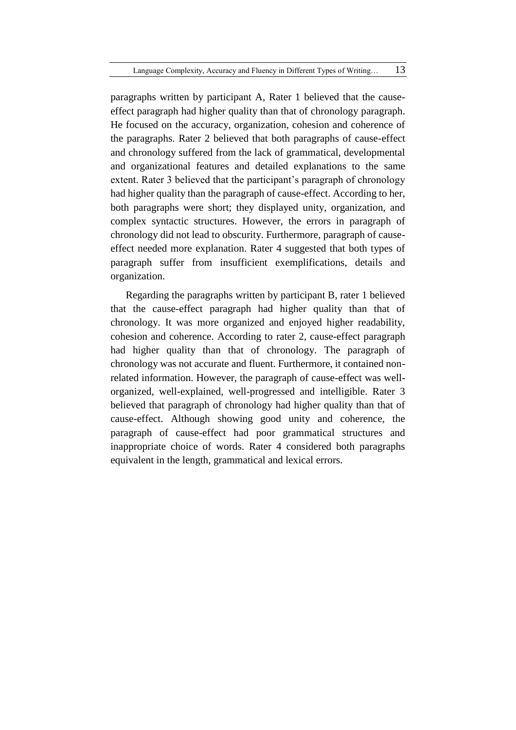paragraphs written by participant A, Rater 1 believed that the causeeffect paragraph had higher quality than that of chronology paragraph. He focused on the accuracy, organization, cohesion and coherence of the paragraphs. Rater 2 believed that both paragraphs of cause-effect and chronology suffered from the lack of grammatical, developmental and organizational features and detailed explanations to the same extent. Rater 3 believed that the participant's paragraph of chronology had higher quality than the paragraph of cause-effect. According to her, both paragraphs were short; they displayed unity, organization, and complex syntactic structures. However, the errors in paragraph of chronology did not lead to obscurity. Furthermore, paragraph of causeeffect needed more explanation. Rater 4 suggested that both types of paragraph suffer from insufficient exemplifications, details and organization.

Regarding the paragraphs written by participant B, rater 1 believed that the cause-effect paragraph had higher quality than that of chronology. It was more organized and enjoyed higher readability, cohesion and coherence. According to rater 2, cause-effect paragraph had higher quality than that of chronology. The paragraph of chronology was not accurate and fluent. Furthermore, it contained nonrelated information. However, the paragraph of cause-effect was wellorganized, well-explained, well-progressed and intelligible. Rater 3 believed that paragraph of chronology had higher quality than that of cause-effect. Although showing good unity and coherence, the paragraph of cause-effect had poor grammatical structures and inappropriate choice of words. Rater 4 considered both paragraphs equivalent in the length, grammatical and lexical errors.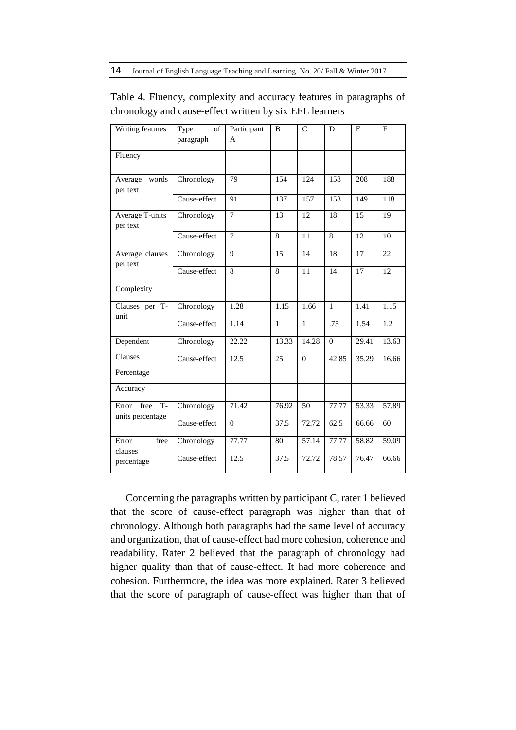| Writing features                           | Type<br>of<br>paragraph | Participant<br>A | B            | $\mathcal{C}$ | D            | E     | F     |
|--------------------------------------------|-------------------------|------------------|--------------|---------------|--------------|-------|-------|
| Fluency                                    |                         |                  |              |               |              |       |       |
| words<br>Average<br>per text               | Chronology              | 79               | 154          | 124           | 158          | 208   | 188   |
|                                            | Cause-effect            | 91               | 137          | 157           | 153          | 149   | 118   |
| Average T-units<br>per text                | Chronology              | $\overline{7}$   | 13           | 12            | 18           | 15    | 19    |
|                                            | Cause-effect            | $\overline{7}$   | 8            | 11            | 8            | 12    | 10    |
| Average clauses<br>per text                | Chronology              | 9                | 15           | 14            | 18           | 17    | 22    |
|                                            | Cause-effect            | 8                | 8            | 11            | 14           | 17    | 12    |
| Complexity                                 |                         |                  |              |               |              |       |       |
| Clauses per T-<br>unit                     | Chronology              | 1.28             | 1.15         | 1.66          | $\mathbf{1}$ | 1.41  | 1.15  |
|                                            | Cause-effect            | 1.14             | $\mathbf{1}$ | $\mathbf{1}$  | .75          | 1.54  | 1.2   |
| Dependent                                  | Chronology              | 22.22            | 13.33        | 14.28         | $\mathbf{0}$ | 29.41 | 13.63 |
| Clauses                                    | Cause-effect            | 12.5             | 25           | $\Omega$      | 42.85        | 35.29 | 16.66 |
| Percentage                                 |                         |                  |              |               |              |       |       |
| Accuracy                                   |                         |                  |              |               |              |       |       |
| free<br>$T -$<br>Error<br>units percentage | Chronology              | 71.42            | 76.92        | 50            | 77.77        | 53.33 | 57.89 |
|                                            | Cause-effect            | $\overline{0}$   | 37.5         | 72.72         | 62.5         | 66.66 | 60    |
| free<br>Error<br>clauses<br>percentage     | Chronology              | 77.77            | 80           | 57.14         | 77.77        | 58.82 | 59.09 |
|                                            | Cause-effect            | 12.5             | 37.5         | 72.72         | 78.57        | 76.47 | 66.66 |

Table 4. Fluency, complexity and accuracy features in paragraphs of chronology and cause-effect written by six EFL learners

Concerning the paragraphs written by participant C, rater 1 believed that the score of cause-effect paragraph was higher than that of chronology. Although both paragraphs had the same level of accuracy and organization, that of cause-effect had more cohesion, coherence and readability. Rater 2 believed that the paragraph of chronology had higher quality than that of cause-effect. It had more coherence and cohesion. Furthermore, the idea was more explained. Rater 3 believed that the score of paragraph of cause-effect was higher than that of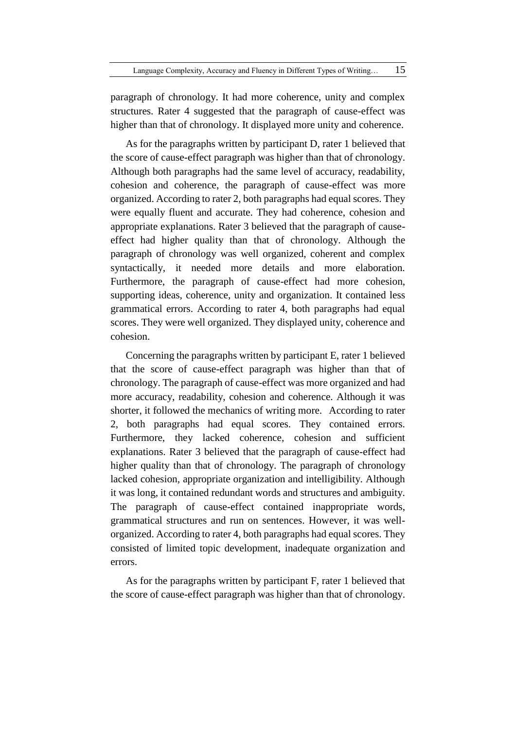paragraph of chronology. It had more coherence, unity and complex structures. Rater 4 suggested that the paragraph of cause-effect was higher than that of chronology. It displayed more unity and coherence.

As for the paragraphs written by participant D, rater 1 believed that the score of cause-effect paragraph was higher than that of chronology. Although both paragraphs had the same level of accuracy, readability, cohesion and coherence, the paragraph of cause-effect was more organized. According to rater 2, both paragraphs had equal scores. They were equally fluent and accurate. They had coherence, cohesion and appropriate explanations. Rater 3 believed that the paragraph of causeeffect had higher quality than that of chronology. Although the paragraph of chronology was well organized, coherent and complex syntactically, it needed more details and more elaboration. Furthermore, the paragraph of cause-effect had more cohesion, supporting ideas, coherence, unity and organization. It contained less grammatical errors. According to rater 4, both paragraphs had equal scores. They were well organized. They displayed unity, coherence and cohesion.

Concerning the paragraphs written by participant E, rater 1 believed that the score of cause-effect paragraph was higher than that of chronology. The paragraph of cause-effect was more organized and had more accuracy, readability, cohesion and coherence. Although it was shorter, it followed the mechanics of writing more. According to rater 2, both paragraphs had equal scores. They contained errors. Furthermore, they lacked coherence, cohesion and sufficient explanations. Rater 3 believed that the paragraph of cause-effect had higher quality than that of chronology. The paragraph of chronology lacked cohesion, appropriate organization and intelligibility. Although it was long, it contained redundant words and structures and ambiguity. The paragraph of cause-effect contained inappropriate words, grammatical structures and run on sentences. However, it was wellorganized. According to rater 4, both paragraphs had equal scores. They consisted of limited topic development, inadequate organization and errors.

As for the paragraphs written by participant F, rater 1 believed that the score of cause-effect paragraph was higher than that of chronology.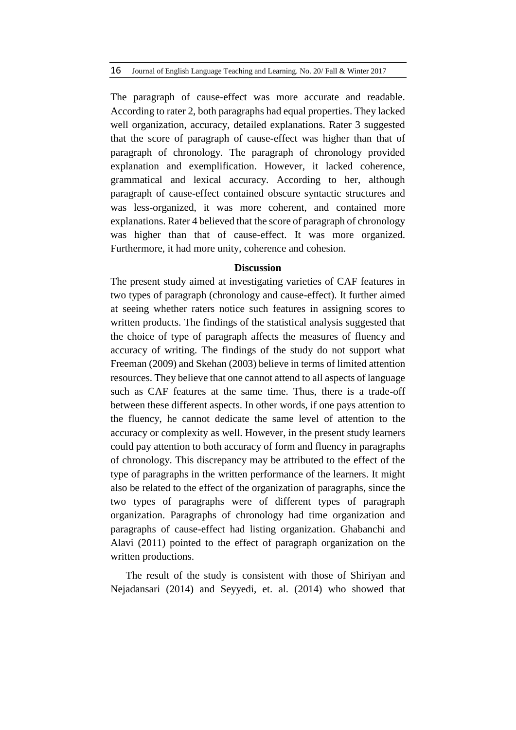The paragraph of cause-effect was more accurate and readable. According to rater 2, both paragraphs had equal properties. They lacked well organization, accuracy, detailed explanations. Rater 3 suggested that the score of paragraph of cause-effect was higher than that of paragraph of chronology. The paragraph of chronology provided explanation and exemplification. However, it lacked coherence, grammatical and lexical accuracy. According to her, although paragraph of cause-effect contained obscure syntactic structures and was less-organized, it was more coherent, and contained more explanations. Rater 4 believed that the score of paragraph of chronology was higher than that of cause-effect. It was more organized. Furthermore, it had more unity, coherence and cohesion.

#### **Discussion**

The present study aimed at investigating varieties of CAF features in two types of paragraph (chronology and cause-effect). It further aimed at seeing whether raters notice such features in assigning scores to written products. The findings of the statistical analysis suggested that the choice of type of paragraph affects the measures of fluency and accuracy of writing. The findings of the study do not support what Freeman (2009) and Skehan (2003) believe in terms of limited attention resources. They believe that one cannot attend to all aspects of language such as CAF features at the same time. Thus, there is a trade-off between these different aspects. In other words, if one pays attention to the fluency, he cannot dedicate the same level of attention to the accuracy or complexity as well. However, in the present study learners could pay attention to both accuracy of form and fluency in paragraphs of chronology. This discrepancy may be attributed to the effect of the type of paragraphs in the written performance of the learners. It might also be related to the effect of the organization of paragraphs, since the two types of paragraphs were of different types of paragraph organization. Paragraphs of chronology had time organization and paragraphs of cause-effect had listing organization. Ghabanchi and Alavi (2011) pointed to the effect of paragraph organization on the written productions.

The result of the study is consistent with those of Shiriyan and Nejadansari (2014) and Seyyedi, et. al. (2014) who showed that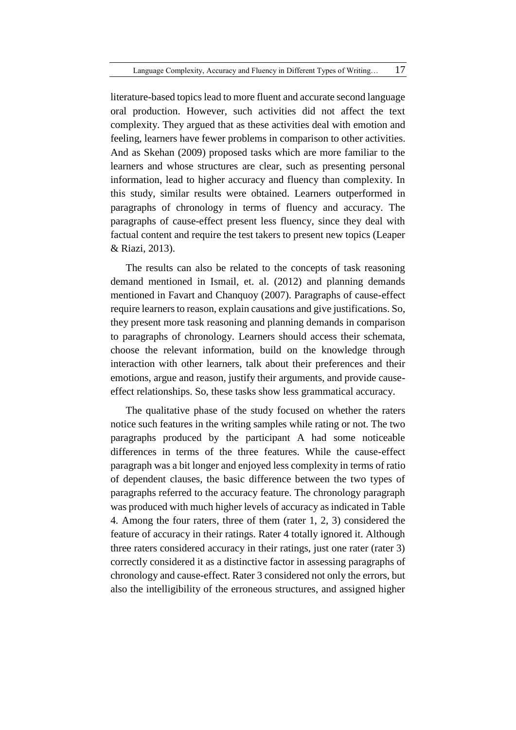literature-based topics lead to more fluent and accurate second language oral production. However, such activities did not affect the text complexity. They argued that as these activities deal with emotion and feeling, learners have fewer problems in comparison to other activities. And as Skehan (2009) proposed tasks which are more familiar to the learners and whose structures are clear, such as presenting personal information, lead to higher accuracy and fluency than complexity. In this study, similar results were obtained. Learners outperformed in paragraphs of chronology in terms of fluency and accuracy. The paragraphs of cause-effect present less fluency, since they deal with factual content and require the test takers to present new topics (Leaper & Riazi, 2013).

The results can also be related to the concepts of task reasoning demand mentioned in Ismail, et. al. (2012) and planning demands mentioned in Favart and Chanquoy (2007). Paragraphs of cause-effect require learners to reason, explain causations and give justifications. So, they present more task reasoning and planning demands in comparison to paragraphs of chronology. Learners should access their schemata, choose the relevant information, build on the knowledge through interaction with other learners, talk about their preferences and their emotions, argue and reason, justify their arguments, and provide causeeffect relationships. So, these tasks show less grammatical accuracy.

The qualitative phase of the study focused on whether the raters notice such features in the writing samples while rating or not. The two paragraphs produced by the participant A had some noticeable differences in terms of the three features. While the cause-effect paragraph was a bit longer and enjoyed less complexity in terms of ratio of dependent clauses, the basic difference between the two types of paragraphs referred to the accuracy feature. The chronology paragraph was produced with much higher levels of accuracy as indicated in Table 4. Among the four raters, three of them (rater 1, 2, 3) considered the feature of accuracy in their ratings. Rater 4 totally ignored it. Although three raters considered accuracy in their ratings, just one rater (rater 3) correctly considered it as a distinctive factor in assessing paragraphs of chronology and cause-effect. Rater 3 considered not only the errors, but also the intelligibility of the erroneous structures, and assigned higher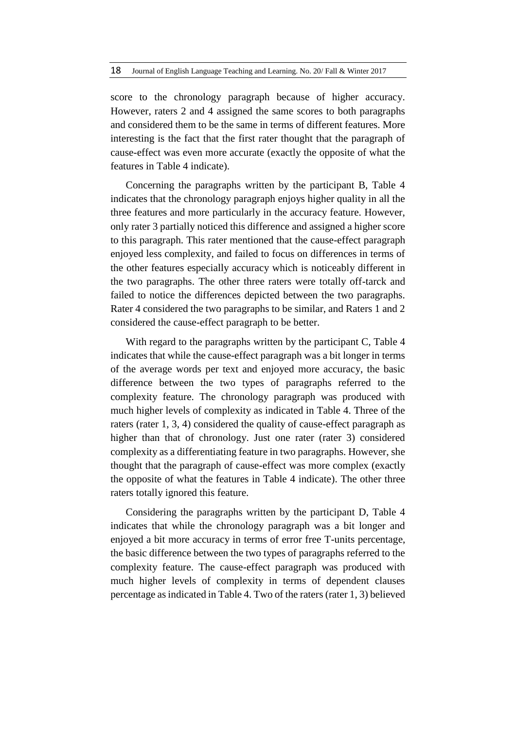score to the chronology paragraph because of higher accuracy. However, raters 2 and 4 assigned the same scores to both paragraphs and considered them to be the same in terms of different features. More interesting is the fact that the first rater thought that the paragraph of cause-effect was even more accurate (exactly the opposite of what the features in Table 4 indicate).

Concerning the paragraphs written by the participant B, Table 4 indicates that the chronology paragraph enjoys higher quality in all the three features and more particularly in the accuracy feature. However, only rater 3 partially noticed this difference and assigned a higher score to this paragraph. This rater mentioned that the cause-effect paragraph enjoyed less complexity, and failed to focus on differences in terms of the other features especially accuracy which is noticeably different in the two paragraphs. The other three raters were totally off-tarck and failed to notice the differences depicted between the two paragraphs. Rater 4 considered the two paragraphs to be similar, and Raters 1 and 2 considered the cause-effect paragraph to be better.

With regard to the paragraphs written by the participant C, Table 4 indicates that while the cause-effect paragraph was a bit longer in terms of the average words per text and enjoyed more accuracy, the basic difference between the two types of paragraphs referred to the complexity feature. The chronology paragraph was produced with much higher levels of complexity as indicated in Table 4. Three of the raters (rater 1, 3, 4) considered the quality of cause-effect paragraph as higher than that of chronology. Just one rater (rater 3) considered complexity as a differentiating feature in two paragraphs. However, she thought that the paragraph of cause-effect was more complex (exactly the opposite of what the features in Table 4 indicate). The other three raters totally ignored this feature.

Considering the paragraphs written by the participant D, Table 4 indicates that while the chronology paragraph was a bit longer and enjoyed a bit more accuracy in terms of error free T-units percentage, the basic difference between the two types of paragraphs referred to the complexity feature. The cause-effect paragraph was produced with much higher levels of complexity in terms of dependent clauses percentage as indicated in Table 4. Two of the raters (rater 1, 3) believed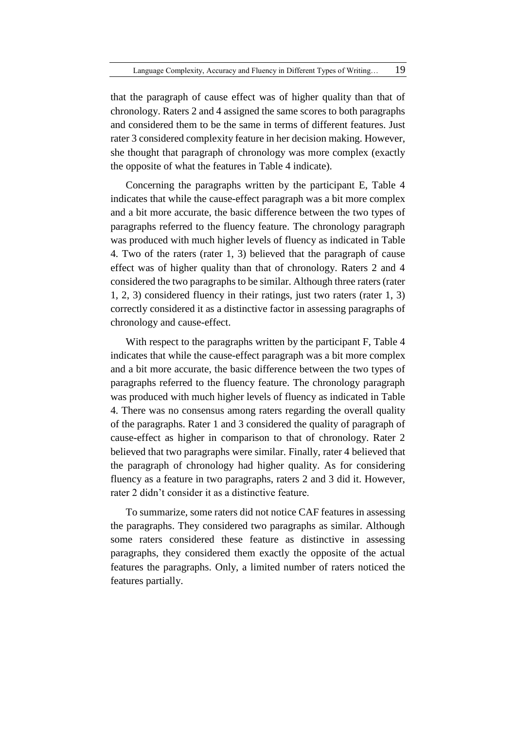that the paragraph of cause effect was of higher quality than that of chronology. Raters 2 and 4 assigned the same scores to both paragraphs and considered them to be the same in terms of different features. Just rater 3 considered complexity feature in her decision making. However, she thought that paragraph of chronology was more complex (exactly the opposite of what the features in Table 4 indicate).

Concerning the paragraphs written by the participant E, Table 4 indicates that while the cause-effect paragraph was a bit more complex and a bit more accurate, the basic difference between the two types of paragraphs referred to the fluency feature. The chronology paragraph was produced with much higher levels of fluency as indicated in Table 4. Two of the raters (rater 1, 3) believed that the paragraph of cause effect was of higher quality than that of chronology. Raters 2 and 4 considered the two paragraphs to be similar. Although three raters (rater 1, 2, 3) considered fluency in their ratings, just two raters (rater 1, 3) correctly considered it as a distinctive factor in assessing paragraphs of chronology and cause-effect.

With respect to the paragraphs written by the participant F, Table 4 indicates that while the cause-effect paragraph was a bit more complex and a bit more accurate, the basic difference between the two types of paragraphs referred to the fluency feature. The chronology paragraph was produced with much higher levels of fluency as indicated in Table 4. There was no consensus among raters regarding the overall quality of the paragraphs. Rater 1 and 3 considered the quality of paragraph of cause-effect as higher in comparison to that of chronology. Rater 2 believed that two paragraphs were similar. Finally, rater 4 believed that the paragraph of chronology had higher quality. As for considering fluency as a feature in two paragraphs, raters 2 and 3 did it. However, rater 2 didn't consider it as a distinctive feature.

To summarize, some raters did not notice CAF features in assessing the paragraphs. They considered two paragraphs as similar. Although some raters considered these feature as distinctive in assessing paragraphs, they considered them exactly the opposite of the actual features the paragraphs. Only, a limited number of raters noticed the features partially.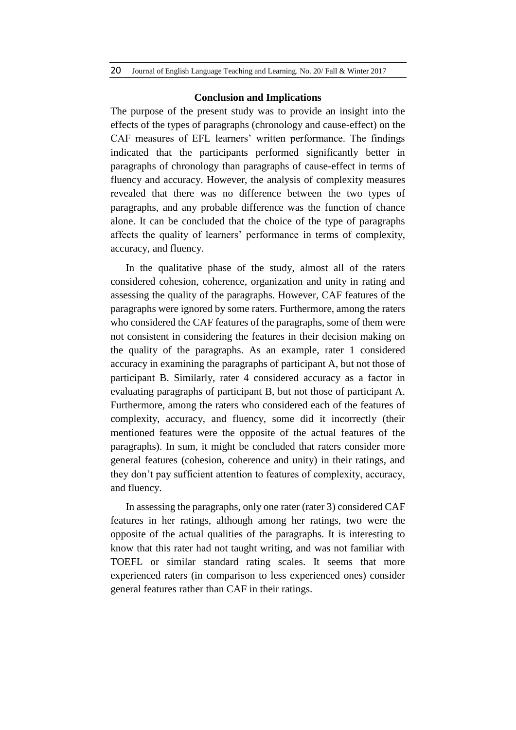#### **Conclusion and Implications**

The purpose of the present study was to provide an insight into the effects of the types of paragraphs (chronology and cause-effect) on the CAF measures of EFL learners' written performance. The findings indicated that the participants performed significantly better in paragraphs of chronology than paragraphs of cause-effect in terms of fluency and accuracy. However, the analysis of complexity measures revealed that there was no difference between the two types of paragraphs, and any probable difference was the function of chance alone. It can be concluded that the choice of the type of paragraphs affects the quality of learners' performance in terms of complexity, accuracy, and fluency.

In the qualitative phase of the study, almost all of the raters considered cohesion, coherence, organization and unity in rating and assessing the quality of the paragraphs. However, CAF features of the paragraphs were ignored by some raters. Furthermore, among the raters who considered the CAF features of the paragraphs, some of them were not consistent in considering the features in their decision making on the quality of the paragraphs. As an example, rater 1 considered accuracy in examining the paragraphs of participant A, but not those of participant B. Similarly, rater 4 considered accuracy as a factor in evaluating paragraphs of participant B, but not those of participant A. Furthermore, among the raters who considered each of the features of complexity, accuracy, and fluency, some did it incorrectly (their mentioned features were the opposite of the actual features of the paragraphs). In sum, it might be concluded that raters consider more general features (cohesion, coherence and unity) in their ratings, and they don't pay sufficient attention to features of complexity, accuracy, and fluency.

In assessing the paragraphs, only one rater (rater 3) considered CAF features in her ratings, although among her ratings, two were the opposite of the actual qualities of the paragraphs. It is interesting to know that this rater had not taught writing, and was not familiar with TOEFL or similar standard rating scales. It seems that more experienced raters (in comparison to less experienced ones) consider general features rather than CAF in their ratings.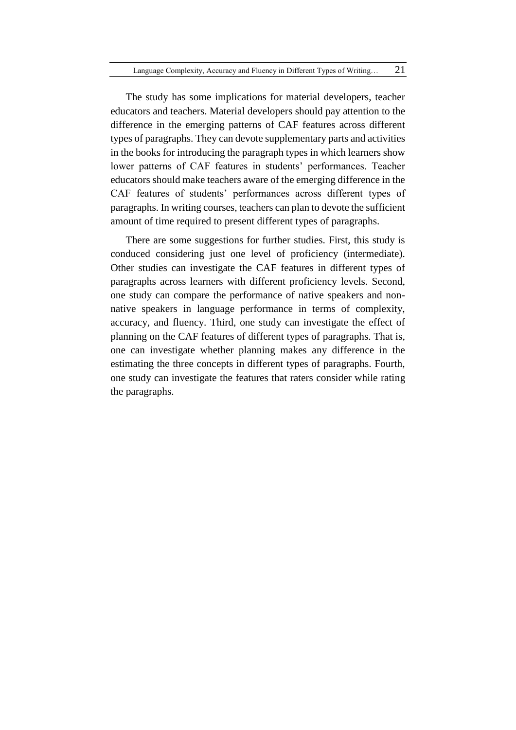The study has some implications for material developers, teacher educators and teachers. Material developers should pay attention to the difference in the emerging patterns of CAF features across different types of paragraphs. They can devote supplementary parts and activities in the books for introducing the paragraph types in which learners show lower patterns of CAF features in students' performances. Teacher educators should make teachers aware of the emerging difference in the CAF features of students' performances across different types of paragraphs. In writing courses, teachers can plan to devote the sufficient amount of time required to present different types of paragraphs.

There are some suggestions for further studies. First, this study is conduced considering just one level of proficiency (intermediate). Other studies can investigate the CAF features in different types of paragraphs across learners with different proficiency levels. Second, one study can compare the performance of native speakers and nonnative speakers in language performance in terms of complexity, accuracy, and fluency. Third, one study can investigate the effect of planning on the CAF features of different types of paragraphs. That is, one can investigate whether planning makes any difference in the estimating the three concepts in different types of paragraphs. Fourth, one study can investigate the features that raters consider while rating the paragraphs.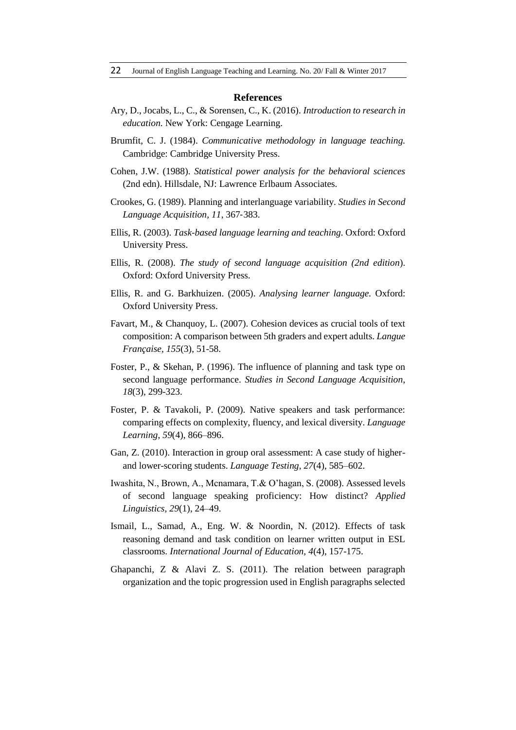#### **References**

- Ary, D., Jocabs, L., C., & Sorensen, C., K. (2016). *Introduction to research in education*. New York: Cengage Learning.
- Brumfit, C. J. (1984). *Communicative methodology in language teaching.* Cambridge: Cambridge University Press.
- Cohen, J.W. (1988). *Statistical power analysis for the behavioral sciences*  (2nd edn). Hillsdale, NJ: Lawrence Erlbaum Associates.
- Crookes, G. (1989). Planning and interlanguage variability. *Studies in Second Language Acquisition, 11*, 367‐383.
- Ellis, R. (2003). *Task-based language learning and teaching*. Oxford: Oxford University Press.
- Ellis, R. (2008). *The study of second language acquisition (2nd edition*). Oxford: Oxford University Press.
- Ellis, R. and G. Barkhuizen. (2005). *Analysing learner language.* Oxford: Oxford University Press.
- Favart, M., & Chanquoy, L. (2007). Cohesion devices as crucial tools of text composition: A comparison between 5th graders and expert adults. *Langue Française, 155*(3), 51-58.
- Foster, P., & Skehan, P. (1996). The influence of planning and task type on second language performance. *Studies in Second Language Acquisition*, *18*(3), 299-323.
- Foster, P. & Tavakoli, P. (2009). Native speakers and task performance: comparing effects on complexity, fluency, and lexical diversity. *Language Learning*, *59*(4), 866–896.
- Gan, Z. (2010). Interaction in group oral assessment: A case study of higherand lower-scoring students. *Language Testing*, *27*(4), 585–602.
- Iwashita, N., Brown, A., Mcnamara, T.& O'hagan, S. (2008). Assessed levels of second language speaking proficiency: How distinct? *Applied Linguistics, 29*(1), 24–49.
- Ismail, L., Samad, A., Eng. W. & Noordin, N. (2012). Effects of task reasoning demand and task condition on learner written output in ESL classrooms. *International Journal of Education, 4*(4), 157-175.
- Ghapanchi, Z & Alavi Z. S. (2011). The relation between paragraph organization and the topic progression used in English paragraphs selected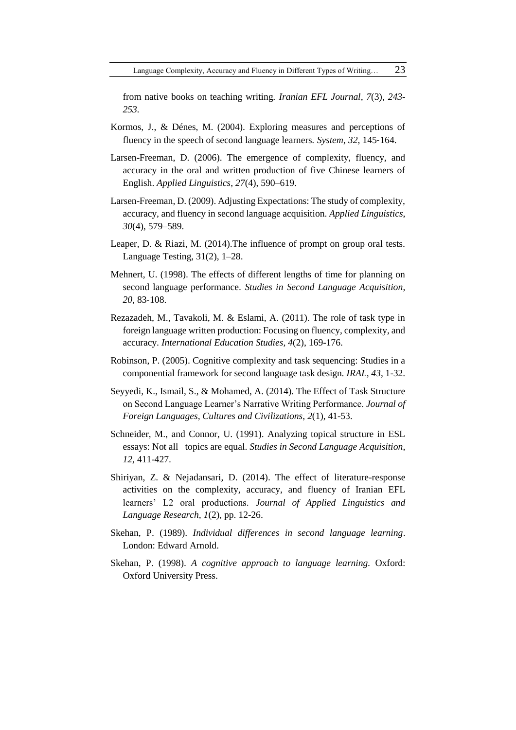from native books on teaching writing*. Iranian EFL Journal, 7*(3), *243- 253.* 

- Kormos, J., & Dénes, M. (2004). Exploring measures and perceptions of fluency in the speech of second language learners*. System*, *32*, 145‐164.
- Larsen-Freeman, D. (2006). The emergence of complexity, fluency, and accuracy in the oral and written production of five Chinese learners of English. *Applied Linguistics*, *27*(4), 590–619.
- Larsen-Freeman, D. (2009). Adjusting Expectations: The study of complexity, accuracy, and fluency in second language acquisition. *Applied Linguistics*, *30*(4), 579–589.
- Leaper, D. & Riazi, M. (2014).The influence of prompt on group oral tests. Language Testing, 31(2), 1–28.
- Mehnert, U. (1998). The effects of different lengths of time for planning on second language performance. *Studies in Second Language Acquisition*, *20*, 83‐108.
- Rezazadeh, M., Tavakoli, M. & Eslami, A. (2011). The role of task type in foreign language written production: Focusing on fluency, complexity, and accuracy. *International Education Studies, 4*(2), 169-176.
- Robinson, P. (2005). Cognitive complexity and task sequencing: Studies in a componential framework for second language task design*. IRAL, 43*, 1-32.
- Seyyedi, K., Ismail, S., & Mohamed, A. (2014). The Effect of Task Structure on Second Language Learner's Narrative Writing Performance. *Journal of Foreign Languages, Cultures and Civilizations*, *2*(1), 41-53.
- Schneider, M., and Connor, U. (1991). Analyzing topical structure in ESL essays: Not all topics are equal. *Studies in Second Language Acquisition*, *12*, 411-427.
- Shiriyan, Z. & Nejadansari, D. (2014). The effect of literature-response activities on the complexity, accuracy, and fluency of Iranian EFL learners' L2 oral productions. *Journal of Applied Linguistics and Language Research, 1*(2), pp. 12-26.
- Skehan, P. (1989). *Individual differences in second language learning*. London: Edward Arnold.
- Skehan, P. (1998). *A cognitive approach to language learning.* Oxford: Oxford University Press.